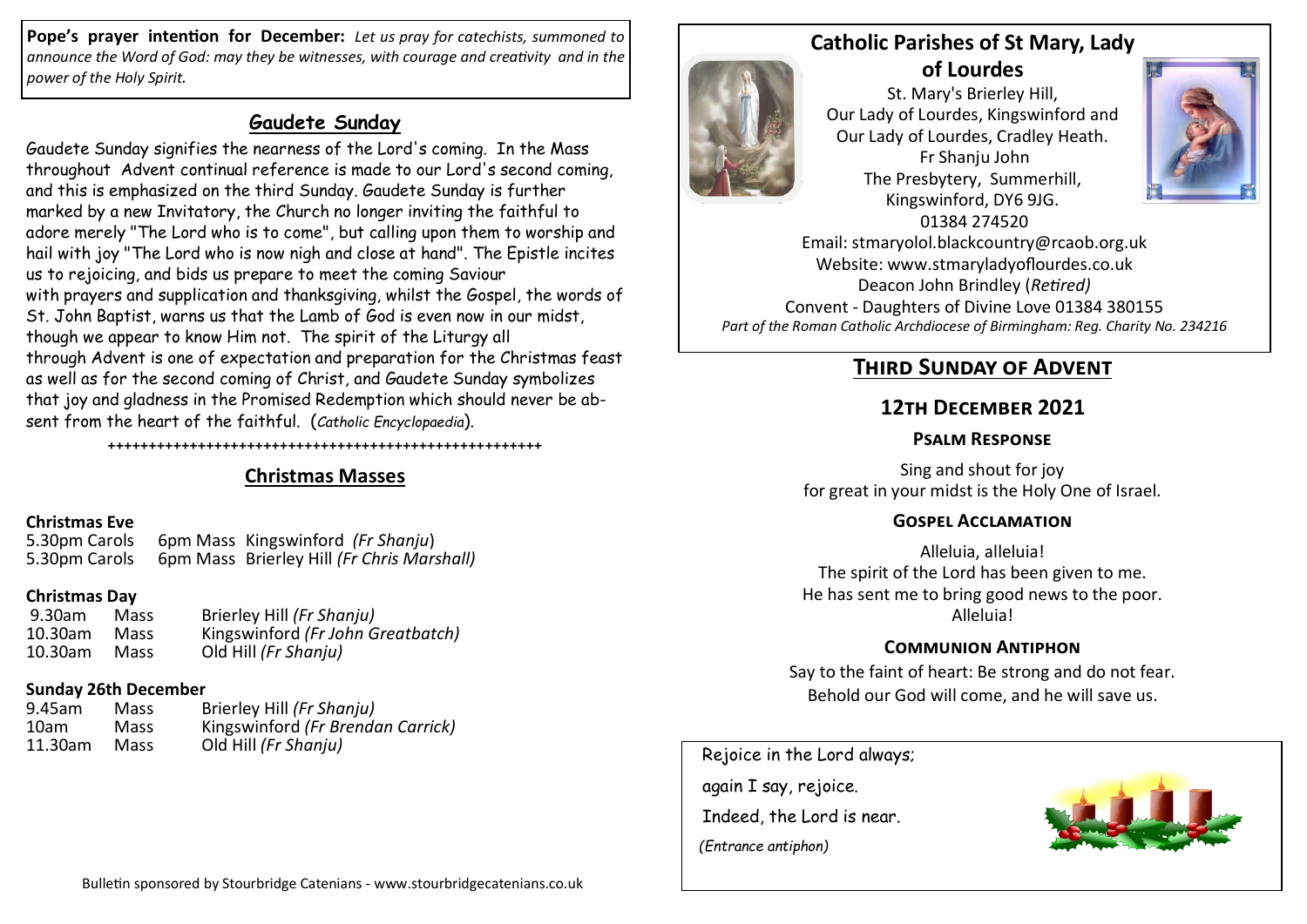**Pope's prayer intention for December:** *Let us pray for catechists, summoned to announce the Word of God: may they be witnesses, with courage and creativity and in the power of the Holy Spirit.*

## **Gaudete Sunday**

Gaudete Sunday signifies the nearness of the Lord's coming. In the Mass throughout Advent continual reference is made to our Lord's second coming, and this is emphasized on the third Sunday. Gaudete Sunday is further marked by a new Invitatory, the Church no longer inviting the faithful to adore merely "The Lord who is to come", but calling upon them to worship and hail with joy "The Lord who is now nigh and close at hand". The Epistle incites us to rejoicing, and bids us prepare to meet the coming Saviour with prayers and supplication and thanksgiving, whilst the Gospel, the words of St. John Baptist, warns us that the Lamb of God is even now in our midst, though we appear to know Him not. The spirit of the Liturgy all through Advent is one of expectation and preparation for the Christmas feast as well as for the second coming of Christ, and Gaudete Sunday symbolizes that joy and gladness in the Promised Redemption which should never be absent from the heart of the faithful. (*Catholic Encyclopaedia*).

## **Christmas Masses**

+++++++++++++++++++++++++++++++++++++++++++++++++++++

**Christmas Eve** 5.30pm Carols 6pm Mass Kingswinford *(Fr Shanju*) 5.30pm Carols 6pm Mass Brierley Hill *(Fr Chris Marshall)*

#### **Christmas Day**

| 9.30am  | Mass | Brierley Hill (Fr Shanju)         |
|---------|------|-----------------------------------|
| 10.30am | Mass | Kingswinford (Fr John Greatbatch) |
| 10.30am | Mass | Old Hill (Fr Shanju)              |

#### **Sunday 26th December**

| 9.45am  | Mass | Brierley Hill (Fr Shanju)         |
|---------|------|-----------------------------------|
| 10am    | Mass | Kingswinford (Fr Brendan Carrick) |
| 11.30am | Mass | Old Hill (Fr Shanju)              |

## **Catholic Parishes of St Mary, Lady of Lourdes**

St. Mary's Brierley Hill, Our Lady of Lourdes, Kingswinford and Our Lady of Lourdes, Cradley Heath. Fr Shanju John The Presbytery, Summerhill, Kingswinford, DY6 9JG. 01384 274520



Email: stmaryolol.blackcountry@rcaob.org.uk Website: www.stmaryladyoflourdes.co.uk Deacon John Brindley (*Retired)* Convent - Daughters of Divine Love 01384 380155 *Part of the Roman Catholic Archdiocese of Birmingham: Reg. Charity No. 234216*

# **Third Sunday of Advent**

## **12th December 2021**

#### **Psalm Response**

Sing and shout for joy for great in your midst is the Holy One of Israel.

### **Gospel Acclamation**

Alleluia, alleluia! The spirit of the Lord has been given to me. He has sent me to bring good news to the poor. Alleluia!

### **Communion Antiphon**

Say to the faint of heart: Be strong and do not fear. Behold our God will come, and he will save us.

Rejoice in the Lord always;

 again I say, rejoice. Indeed, the Lord is near.  *(Entrance antiphon)*